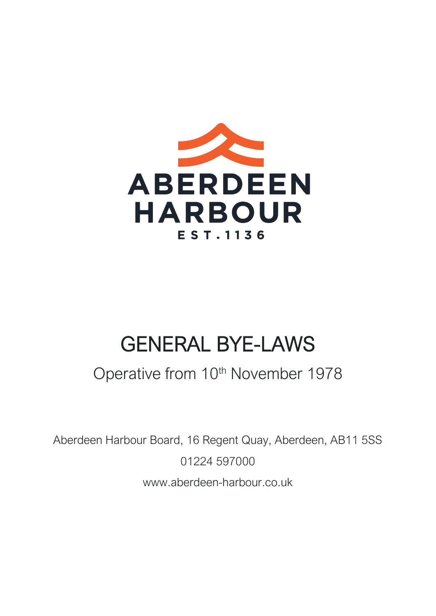

# GENERAL BYE-LAWS

# Operative from 10<sup>th</sup> November 1978

Aberdeen Harbour Board, 16 Regent Quay, Aberdeen, AB11 5SS 01224 597000 www.aberdeen-harbour.co.uk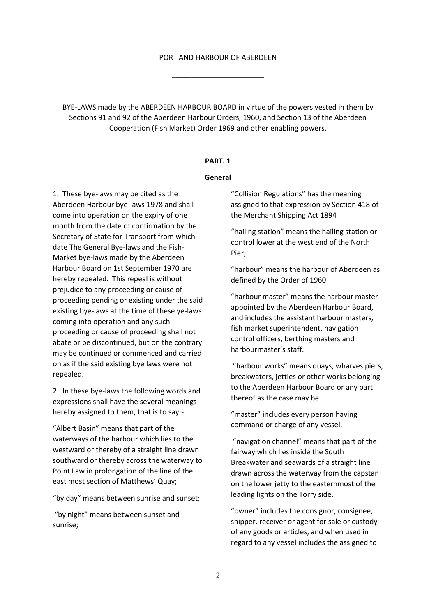#### PORT AND HARBOUR OF ABERDEEN

\_\_\_\_\_\_\_\_\_\_\_\_\_\_\_\_\_\_\_\_\_\_\_

BYE-LAWS made by the ABERDEEN HARBOUR BOARD in virtue of the powers vested in them by Sections 91 and 92 of the Aberdeen Harbour Orders, 1960, and Section 13 of the Aberdeen Cooperation (Fish Market) Order 1969 and other enabling powers.

#### **PART. 1**

#### **General**

1. These bye-laws may be cited as the Aberdeen Harbour bye-laws 1978 and shall come into operation on the expiry of one month from the date of confirmation by the Secretary of State for Transport from which date The General Bye-laws and the Fish-Market bye-laws made by the Aberdeen Harbour Board on 1st September 1970 are hereby repealed. This repeal is without prejudice to any proceeding or cause of proceeding pending or existing under the said existing bye-laws at the time of these ye-laws coming into operation and any such proceeding or cause of proceeding shall not abate or be discontinued, but on the contrary may be continued or commenced and carried on as if the said existing bye laws were not repealed.

2. In these bye-laws the following words and expressions shall have the several meanings hereby assigned to them, that is to say:-

"Albert Basin" means that part of the waterways of the harbour which lies to the westward or thereby of a straight line drawn southward or thereby across the waterway to Point Law in prolongation of the line of the east most section of Matthews' Quay;

"by day" means between sunrise and sunset;

"by night" means between sunset and sunrise;

"Collision Regulations" has the meaning assigned to that expression by Section 418 of the Merchant Shipping Act 1894

"hailing station" means the hailing station or control lower at the west end of the North Pier;

"harbour" means the harbour of Aberdeen as defined by the Order of 1960

"harbour master" means the harbour master appointed by the Aberdeen Harbour Board, and includes the assistant harbour masters, fish market superintendent, navigation control officers, berthing masters and harbourmaster's staff.

"harbour works" means quays, wharves piers, breakwaters, jetties or other works belonging to the Aberdeen Harbour Board or any part thereof as the case may be.

"master" includes every person having command or charge of any vessel.

"navigation channel" means that part of the fairway which lies inside the South Breakwater and seawards of a straight line drawn across the waterway from the capstan on the lower jetty to the easternmost of the leading lights on the Torry side.

"owner" includes the consignor, consignee, shipper, receiver or agent for sale or custody of any goods or articles, and when used in regard to any vessel includes the assigned to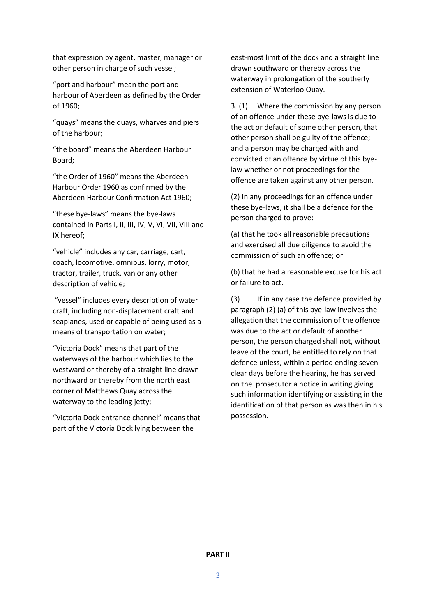that expression by agent, master, manager or other person in charge of such vessel;

"port and harbour" mean the port and harbour of Aberdeen as defined by the Order of 1960;

"quays" means the quays, wharves and piers of the harbour;

"the board" means the Aberdeen Harbour Board;

"the Order of 1960" means the Aberdeen Harbour Order 1960 as confirmed by the Aberdeen Harbour Confirmation Act 1960;

"these bye-laws" means the bye-laws contained in Parts I, II, III, IV, V, VI, VII, VIII and IX hereof;

"vehicle" includes any car, carriage, cart, coach, locomotive, omnibus, lorry, motor, tractor, trailer, truck, van or any other description of vehicle;

"vessel" includes every description of water craft, including non-displacement craft and seaplanes, used or capable of being used as a means of transportation on water;

"Victoria Dock" means that part of the waterways of the harbour which lies to the westward or thereby of a straight line drawn northward or thereby from the north east corner of Matthews Quay across the waterway to the leading jetty;

"Victoria Dock entrance channel" means that part of the Victoria Dock lying between the

east-most limit of the dock and a straight line drawn southward or thereby across the waterway in prolongation of the southerly extension of Waterloo Quay.

3. (1) Where the commission by any person of an offence under these bye-laws is due to the act or default of some other person, that other person shall be guilty of the offence; and a person may be charged with and convicted of an offence by virtue of this byelaw whether or not proceedings for the offence are taken against any other person.

(2) In any proceedings for an offence under these bye-laws, it shall be a defence for the person charged to prove:-

(a) that he took all reasonable precautions and exercised all due diligence to avoid the commission of such an offence; or

(b) that he had a reasonable excuse for his act or failure to act.

(3) If in any case the defence provided by paragraph (2) (a) of this bye-law involves the allegation that the commission of the offence was due to the act or default of another person, the person charged shall not, without leave of the court, be entitled to rely on that defence unless, within a period ending seven clear days before the hearing, he has served on the prosecutor a notice in writing giving such information identifying or assisting in the identification of that person as was then in his possession.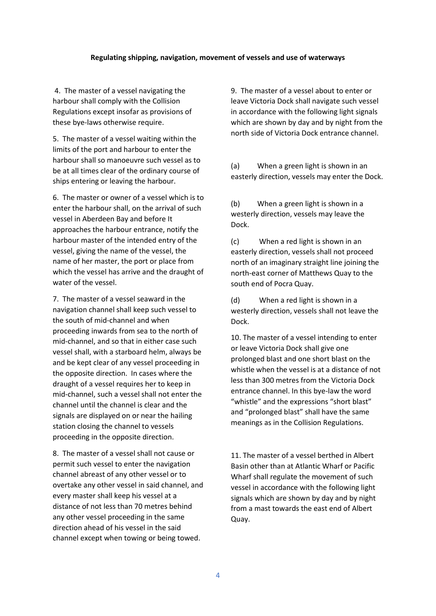#### **Regulating shipping, navigation, movement of vessels and use of waterways**

4. The master of a vessel navigating the harbour shall comply with the Collision Regulations except insofar as provisions of these bye-laws otherwise require.

5. The master of a vessel waiting within the limits of the port and harbour to enter the harbour shall so manoeuvre such vessel as to be at all times clear of the ordinary course of ships entering or leaving the harbour.

6. The master or owner of a vessel which is to enter the harbour shall, on the arrival of such vessel in Aberdeen Bay and before It approaches the harbour entrance, notify the harbour master of the intended entry of the vessel, giving the name of the vessel, the name of her master, the port or place from which the vessel has arrive and the draught of water of the vessel.

7. The master of a vessel seaward in the navigation channel shall keep such vessel to the south of mid-channel and when proceeding inwards from sea to the north of mid-channel, and so that in either case such vessel shall, with a starboard helm, always be and be kept clear of any vessel proceeding in the opposite direction. In cases where the draught of a vessel requires her to keep in mid-channel, such a vessel shall not enter the channel until the channel is clear and the signals are displayed on or near the hailing station closing the channel to vessels proceeding in the opposite direction.

8. The master of a vessel shall not cause or permit such vessel to enter the navigation channel abreast of any other vessel or to overtake any other vessel in said channel, and every master shall keep his vessel at a distance of not less than 70 metres behind any other vessel proceeding in the same direction ahead of his vessel in the said channel except when towing or being towed.

9. The master of a vessel about to enter or leave Victoria Dock shall navigate such vessel in accordance with the following light signals which are shown by day and by night from the north side of Victoria Dock entrance channel.

(a) When a green light is shown in an easterly direction, vessels may enter the Dock.

(b) When a green light is shown in a westerly direction, vessels may leave the Dock.

(c) When a red light is shown in an easterly direction, vessels shall not proceed north of an imaginary straight line joining the north-east corner of Matthews Quay to the south end of Pocra Quay.

(d) When a red light is shown in a westerly direction, vessels shall not leave the Dock.

10. The master of a vessel intending to enter or leave Victoria Dock shall give one prolonged blast and one short blast on the whistle when the vessel is at a distance of not less than 300 metres from the Victoria Dock entrance channel. In this bye-law the word "whistle" and the expressions "short blast" and "prolonged blast" shall have the same meanings as in the Collision Regulations.

11. The master of a vessel berthed in Albert Basin other than at Atlantic Wharf or Pacific Wharf shall regulate the movement of such vessel in accordance with the following light signals which are shown by day and by night from a mast towards the east end of Albert Quay.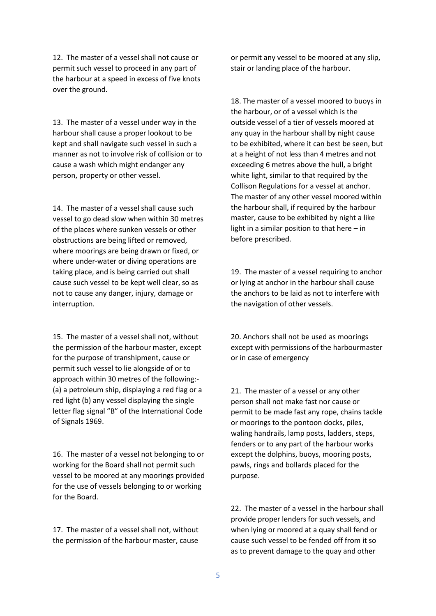12. The master of a vessel shall not cause or permit such vessel to proceed in any part of the harbour at a speed in excess of five knots over the ground.

13. The master of a vessel under way in the harbour shall cause a proper lookout to be kept and shall navigate such vessel in such a manner as not to involve risk of collision or to cause a wash which might endanger any person, property or other vessel.

14. The master of a vessel shall cause such vessel to go dead slow when within 30 metres of the places where sunken vessels or other obstructions are being lifted or removed, where moorings are being drawn or fixed, or where under-water or diving operations are taking place, and is being carried out shall cause such vessel to be kept well clear, so as not to cause any danger, injury, damage or interruption.

15. The master of a vessel shall not, without the permission of the harbour master, except for the purpose of transhipment, cause or permit such vessel to lie alongside of or to approach within 30 metres of the following:- (a) a petroleum ship, displaying a red flag or a red light (b) any vessel displaying the single letter flag signal "B" of the International Code of Signals 1969.

16. The master of a vessel not belonging to or working for the Board shall not permit such vessel to be moored at any moorings provided for the use of vessels belonging to or working for the Board.

17. The master of a vessel shall not, without the permission of the harbour master, cause or permit any vessel to be moored at any slip, stair or landing place of the harbour.

18. The master of a vessel moored to buoys in the harbour, or of a vessel which is the outside vessel of a tier of vessels moored at any quay in the harbour shall by night cause to be exhibited, where it can best be seen, but at a height of not less than 4 metres and not exceeding 6 metres above the hull, a bright white light, similar to that required by the Collison Regulations for a vessel at anchor. The master of any other vessel moored within the harbour shall, if required by the harbour master, cause to be exhibited by night a like light in a similar position to that here – in before prescribed.

19. The master of a vessel requiring to anchor or lying at anchor in the harbour shall cause the anchors to be laid as not to interfere with the navigation of other vessels.

20. Anchors shall not be used as moorings except with permissions of the harbourmaster or in case of emergency

21. The master of a vessel or any other person shall not make fast nor cause or permit to be made fast any rope, chains tackle or moorings to the pontoon docks, piles, waling handrails, lamp posts, ladders, steps, fenders or to any part of the harbour works except the dolphins, buoys, mooring posts, pawls, rings and bollards placed for the purpose.

22. The master of a vessel in the harbour shall provide proper lenders for such vessels, and when lying or moored at a quay shall fend or cause such vessel to be fended off from it so as to prevent damage to the quay and other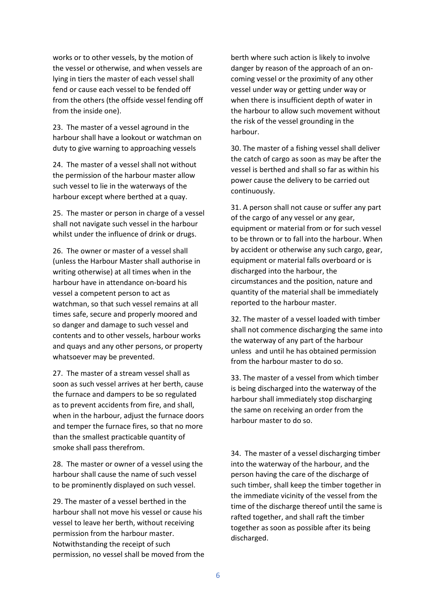works or to other vessels, by the motion of the vessel or otherwise, and when vessels are lying in tiers the master of each vessel shall fend or cause each vessel to be fended off from the others (the offside vessel fending off from the inside one).

23. The master of a vessel aground in the harbour shall have a lookout or watchman on duty to give warning to approaching vessels

24. The master of a vessel shall not without the permission of the harbour master allow such vessel to lie in the waterways of the harbour except where berthed at a quay.

25. The master or person in charge of a vessel shall not navigate such vessel in the harbour whilst under the influence of drink or drugs.

26. The owner or master of a vessel shall (unless the Harbour Master shall authorise in writing otherwise) at all times when in the harbour have in attendance on-board his vessel a competent person to act as watchman, so that such vessel remains at all times safe, secure and properly moored and so danger and damage to such vessel and contents and to other vessels, harbour works and quays and any other persons, or property whatsoever may be prevented.

27. The master of a stream vessel shall as soon as such vessel arrives at her berth, cause the furnace and dampers to be so regulated as to prevent accidents from fire, and shall, when in the harbour, adjust the furnace doors and temper the furnace fires, so that no more than the smallest practicable quantity of smoke shall pass therefrom.

28. The master or owner of a vessel using the harbour shall cause the name of such vessel to be prominently displayed on such vessel.

29. The master of a vessel berthed in the harbour shall not move his vessel or cause his vessel to leave her berth, without receiving permission from the harbour master. Notwithstanding the receipt of such permission, no vessel shall be moved from the berth where such action is likely to involve danger by reason of the approach of an oncoming vessel or the proximity of any other vessel under way or getting under way or when there is insufficient depth of water in the harbour to allow such movement without the risk of the vessel grounding in the harbour.

30. The master of a fishing vessel shall deliver the catch of cargo as soon as may be after the vessel is berthed and shall so far as within his power cause the delivery to be carried out continuously.

31. A person shall not cause or suffer any part of the cargo of any vessel or any gear, equipment or material from or for such vessel to be thrown or to fall into the harbour. When by accident or otherwise any such cargo, gear, equipment or material falls overboard or is discharged into the harbour, the circumstances and the position, nature and quantity of the material shall be immediately reported to the harbour master.

32. The master of a vessel loaded with timber shall not commence discharging the same into the waterway of any part of the harbour unless and until he has obtained permission from the harbour master to do so.

33. The master of a vessel from which timber is being discharged into the waterway of the harbour shall immediately stop discharging the same on receiving an order from the harbour master to do so.

34. The master of a vessel discharging timber into the waterway of the harbour, and the person having the care of the discharge of such timber, shall keep the timber together in the immediate vicinity of the vessel from the time of the discharge thereof until the same is rafted together, and shall raft the timber together as soon as possible after its being discharged.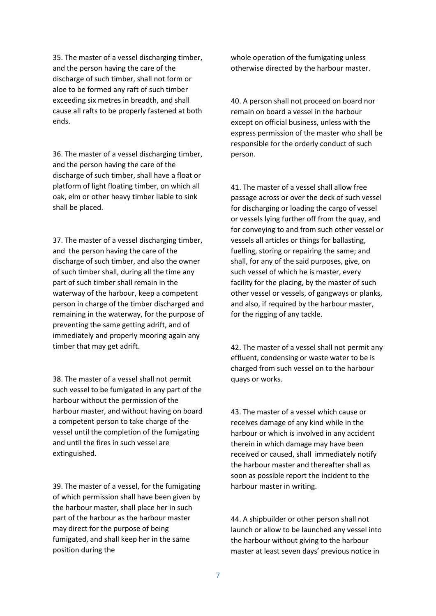35. The master of a vessel discharging timber, and the person having the care of the discharge of such timber, shall not form or aloe to be formed any raft of such timber exceeding six metres in breadth, and shall cause all rafts to be properly fastened at both ends.

36. The master of a vessel discharging timber, and the person having the care of the discharge of such timber, shall have a float or platform of light floating timber, on which all oak, elm or other heavy timber liable to sink shall be placed.

37. The master of a vessel discharging timber, and the person having the care of the discharge of such timber, and also the owner of such timber shall, during all the time any part of such timber shall remain in the waterway of the harbour, keep a competent person in charge of the timber discharged and remaining in the waterway, for the purpose of preventing the same getting adrift, and of immediately and properly mooring again any timber that may get adrift.

38. The master of a vessel shall not permit such vessel to be fumigated in any part of the harbour without the permission of the harbour master, and without having on board a competent person to take charge of the vessel until the completion of the fumigating and until the fires in such vessel are extinguished.

39. The master of a vessel, for the fumigating of which permission shall have been given by the harbour master, shall place her in such part of the harbour as the harbour master may direct for the purpose of being fumigated, and shall keep her in the same position during the

whole operation of the fumigating unless otherwise directed by the harbour master.

40. A person shall not proceed on board nor remain on board a vessel in the harbour except on official business, unless with the express permission of the master who shall be responsible for the orderly conduct of such person.

41. The master of a vessel shall allow free passage across or over the deck of such vessel for discharging or loading the cargo of vessel or vessels lying further off from the quay, and for conveying to and from such other vessel or vessels all articles or things for ballasting, fuelling, storing or repairing the same; and shall, for any of the said purposes, give, on such vessel of which he is master, every facility for the placing, by the master of such other vessel or vessels, of gangways or planks, and also, if required by the harbour master, for the rigging of any tackle.

42. The master of a vessel shall not permit any effluent, condensing or waste water to be is charged from such vessel on to the harbour quays or works.

43. The master of a vessel which cause or receives damage of any kind while in the harbour or which is involved in any accident therein in which damage may have been received or caused, shall immediately notify the harbour master and thereafter shall as soon as possible report the incident to the harbour master in writing.

44. A shipbuilder or other person shall not launch or allow to be launched any vessel into the harbour without giving to the harbour master at least seven days' previous notice in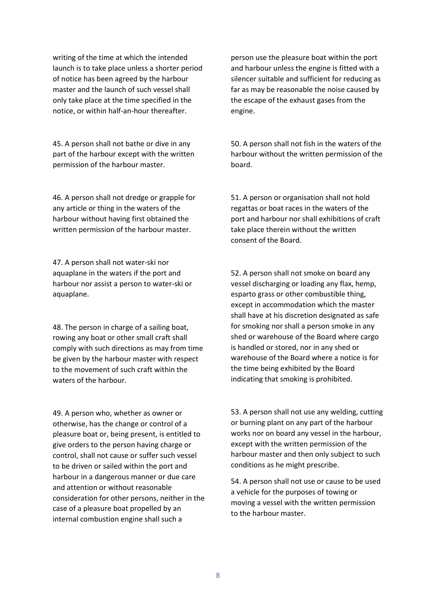writing of the time at which the intended launch is to take place unless a shorter period of notice has been agreed by the harbour master and the launch of such vessel shall only take place at the time specified in the notice, or within half-an-hour thereafter.

45. A person shall not bathe or dive in any part of the harbour except with the written permission of the harbour master.

46. A person shall not dredge or grapple for any article or thing in the waters of the harbour without having first obtained the written permission of the harbour master.

47. A person shall not water-ski nor aquaplane in the waters if the port and harbour nor assist a person to water-ski or aquaplane.

48. The person in charge of a sailing boat, rowing any boat or other small craft shall comply with such directions as may from time be given by the harbour master with respect to the movement of such craft within the waters of the harbour.

49. A person who, whether as owner or otherwise, has the change or control of a pleasure boat or, being present, is entitled to give orders to the person having charge or control, shall not cause or suffer such vessel to be driven or sailed within the port and harbour in a dangerous manner or due care and attention or without reasonable consideration for other persons, neither in the case of a pleasure boat propelled by an internal combustion engine shall such a

person use the pleasure boat within the port and harbour unless the engine is fitted with a silencer suitable and sufficient for reducing as far as may be reasonable the noise caused by the escape of the exhaust gases from the engine.

50. A person shall not fish in the waters of the harbour without the written permission of the board.

51. A person or organisation shall not hold regattas or boat races in the waters of the port and harbour nor shall exhibitions of craft take place therein without the written consent of the Board.

52. A person shall not smoke on board any vessel discharging or loading any flax, hemp, esparto grass or other combustible thing, except in accommodation which the master shall have at his discretion designated as safe for smoking nor shall a person smoke in any shed or warehouse of the Board where cargo is handled or stored, nor in any shed or warehouse of the Board where a notice is for the time being exhibited by the Board indicating that smoking is prohibited.

53. A person shall not use any welding, cutting or burning plant on any part of the harbour works nor on board any vessel in the harbour, except with the written permission of the harbour master and then only subject to such conditions as he might prescribe.

54. A person shall not use or cause to be used a vehicle for the purposes of towing or moving a vessel with the written permission to the harbour master.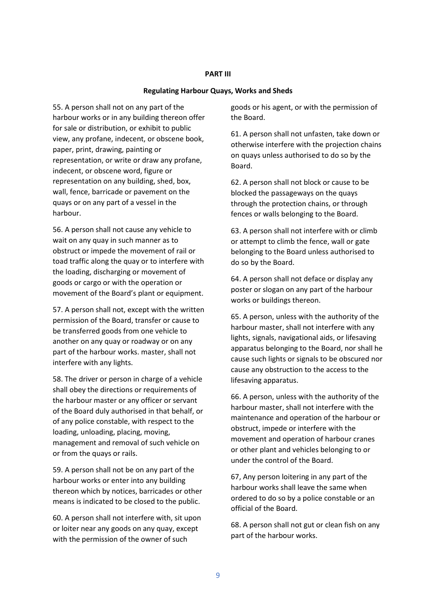#### **PART III**

#### **Regulating Harbour Quays, Works and Sheds**

55. A person shall not on any part of the harbour works or in any building thereon offer for sale or distribution, or exhibit to public view, any profane, indecent, or obscene book, paper, print, drawing, painting or representation, or write or draw any profane, indecent, or obscene word, figure or representation on any building, shed, box, wall, fence, barricade or pavement on the quays or on any part of a vessel in the harbour.

56. A person shall not cause any vehicle to wait on any quay in such manner as to obstruct or impede the movement of rail or toad traffic along the quay or to interfere with the loading, discharging or movement of goods or cargo or with the operation or movement of the Board's plant or equipment.

57. A person shall not, except with the written permission of the Board, transfer or cause to be transferred goods from one vehicle to another on any quay or roadway or on any part of the harbour works. master, shall not interfere with any lights.

58. The driver or person in charge of a vehicle shall obey the directions or requirements of the harbour master or any officer or servant of the Board duly authorised in that behalf, or of any police constable, with respect to the loading, unloading, placing, moving, management and removal of such vehicle on or from the quays or rails.

59. A person shall not be on any part of the harbour works or enter into any building thereon which by notices, barricades or other means is indicated to be closed to the public.

60. A person shall not interfere with, sit upon or loiter near any goods on any quay, except with the permission of the owner of such

goods or his agent, or with the permission of the Board.

61. A person shall not unfasten, take down or otherwise interfere with the projection chains on quays unless authorised to do so by the Board.

62. A person shall not block or cause to be blocked the passageways on the quays through the protection chains, or through fences or walls belonging to the Board.

63. A person shall not interfere with or climb or attempt to climb the fence, wall or gate belonging to the Board unless authorised to do so by the Board.

64. A person shall not deface or display any poster or slogan on any part of the harbour works or buildings thereon.

65. A person, unless with the authority of the harbour master, shall not interfere with any lights, signals, navigational aids, or lifesaving apparatus belonging to the Board, nor shall he cause such lights or signals to be obscured nor cause any obstruction to the access to the lifesaving apparatus.

66. A person, unless with the authority of the harbour master, shall not interfere with the maintenance and operation of the harbour or obstruct, impede or interfere with the movement and operation of harbour cranes or other plant and vehicles belonging to or under the control of the Board.

67, Any person loitering in any part of the harbour works shall leave the same when ordered to do so by a police constable or an official of the Board.

68. A person shall not gut or clean fish on any part of the harbour works.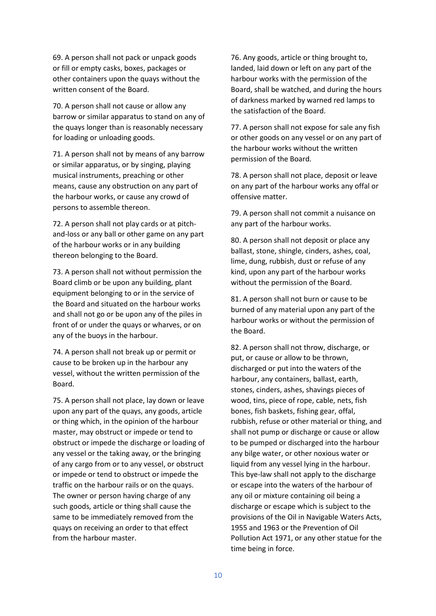69. A person shall not pack or unpack goods or fill or empty casks, boxes, packages or other containers upon the quays without the written consent of the Board.

70. A person shall not cause or allow any barrow or similar apparatus to stand on any of the quays longer than is reasonably necessary for loading or unloading goods.

71. A person shall not by means of any barrow or similar apparatus, or by singing, playing musical instruments, preaching or other means, cause any obstruction on any part of the harbour works, or cause any crowd of persons to assemble thereon.

72. A person shall not play cards or at pitchand-loss or any ball or other game on any part of the harbour works or in any building thereon belonging to the Board.

73. A person shall not without permission the Board climb or be upon any building, plant equipment belonging to or in the service of the Board and situated on the harbour works and shall not go or be upon any of the piles in front of or under the quays or wharves, or on any of the buoys in the harbour.

74. A person shall not break up or permit or cause to be broken up in the harbour any vessel, without the written permission of the Board.

75. A person shall not place, lay down or leave upon any part of the quays, any goods, article or thing which, in the opinion of the harbour master, may obstruct or impede or tend to obstruct or impede the discharge or loading of any vessel or the taking away, or the bringing of any cargo from or to any vessel, or obstruct or impede or tend to obstruct or impede the traffic on the harbour rails or on the quays. The owner or person having charge of any such goods, article or thing shall cause the same to be immediately removed from the quays on receiving an order to that effect from the harbour master.

76. Any goods, article or thing brought to, landed, laid down or left on any part of the harbour works with the permission of the Board, shall be watched, and during the hours of darkness marked by warned red lamps to the satisfaction of the Board.

77. A person shall not expose for sale any fish or other goods on any vessel or on any part of the harbour works without the written permission of the Board.

78. A person shall not place, deposit or leave on any part of the harbour works any offal or offensive matter.

79. A person shall not commit a nuisance on any part of the harbour works.

80. A person shall not deposit or place any ballast, stone, shingle, cinders, ashes, coal, lime, dung, rubbish, dust or refuse of any kind, upon any part of the harbour works without the permission of the Board.

81. A person shall not burn or cause to be burned of any material upon any part of the harbour works or without the permission of the Board.

82. A person shall not throw, discharge, or put, or cause or allow to be thrown, discharged or put into the waters of the harbour, any containers, ballast, earth, stones, cinders, ashes, shavings pieces of wood, tins, piece of rope, cable, nets, fish bones, fish baskets, fishing gear, offal, rubbish, refuse or other material or thing, and shall not pump or discharge or cause or allow to be pumped or discharged into the harbour any bilge water, or other noxious water or liquid from any vessel lying in the harbour. This bye-law shall not apply to the discharge or escape into the waters of the harbour of any oil or mixture containing oil being a discharge or escape which is subject to the provisions of the Oil in Navigable Waters Acts, 1955 and 1963 or the Prevention of Oil Pollution Act 1971, or any other statue for the time being in force.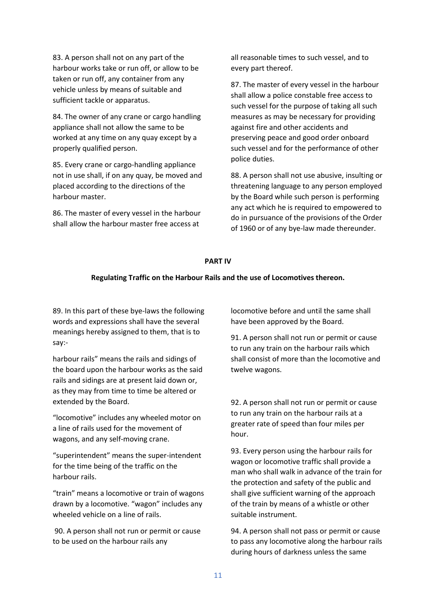83. A person shall not on any part of the harbour works take or run off, or allow to be taken or run off, any container from any vehicle unless by means of suitable and sufficient tackle or apparatus.

84. The owner of any crane or cargo handling appliance shall not allow the same to be worked at any time on any quay except by a properly qualified person.

85. Every crane or cargo-handling appliance not in use shall, if on any quay, be moved and placed according to the directions of the harbour master.

86. The master of every vessel in the harbour shall allow the harbour master free access at

all reasonable times to such vessel, and to every part thereof.

87. The master of every vessel in the harbour shall allow a police constable free access to such vessel for the purpose of taking all such measures as may be necessary for providing against fire and other accidents and preserving peace and good order onboard such vessel and for the performance of other police duties.

88. A person shall not use abusive, insulting or threatening language to any person employed by the Board while such person is performing any act which he is required to empowered to do in pursuance of the provisions of the Order of 1960 or of any bye-law made thereunder.

## **PART IV**

#### **Regulating Traffic on the Harbour Rails and the use of Locomotives thereon.**

89. In this part of these bye-laws the following words and expressions shall have the several meanings hereby assigned to them, that is to say:-

harbour rails" means the rails and sidings of the board upon the harbour works as the said rails and sidings are at present laid down or, as they may from time to time be altered or extended by the Board.

"locomotive" includes any wheeled motor on a line of rails used for the movement of wagons, and any self-moving crane.

"superintendent" means the super-intendent for the time being of the traffic on the harbour rails.

"train" means a locomotive or train of wagons drawn by a locomotive. "wagon" includes any wheeled vehicle on a line of rails.

90. A person shall not run or permit or cause to be used on the harbour rails any

locomotive before and until the same shall have been approved by the Board.

91. A person shall not run or permit or cause to run any train on the harbour rails which shall consist of more than the locomotive and twelve wagons.

92. A person shall not run or permit or cause to run any train on the harbour rails at a greater rate of speed than four miles per hour.

93. Every person using the harbour rails for wagon or locomotive traffic shall provide a man who shall walk in advance of the train for the protection and safety of the public and shall give sufficient warning of the approach of the train by means of a whistle or other suitable instrument.

94. A person shall not pass or permit or cause to pass any locomotive along the harbour rails during hours of darkness unless the same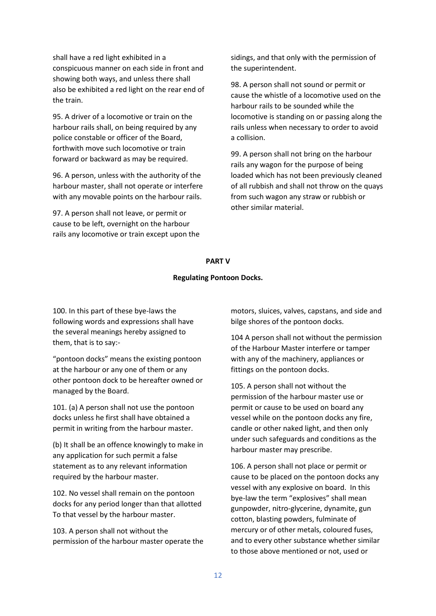shall have a red light exhibited in a conspicuous manner on each side in front and showing both ways, and unless there shall also be exhibited a red light on the rear end of the train.

95. A driver of a locomotive or train on the harbour rails shall, on being required by any police constable or officer of the Board, forthwith move such locomotive or train forward or backward as may be required.

96. A person, unless with the authority of the harbour master, shall not operate or interfere with any movable points on the harbour rails.

97. A person shall not leave, or permit or cause to be left, overnight on the harbour rails any locomotive or train except upon the sidings, and that only with the permission of the superintendent.

98. A person shall not sound or permit or cause the whistle of a locomotive used on the harbour rails to be sounded while the locomotive is standing on or passing along the rails unless when necessary to order to avoid a collision.

99. A person shall not bring on the harbour rails any wagon for the purpose of being loaded which has not been previously cleaned of all rubbish and shall not throw on the quays from such wagon any straw or rubbish or other similar material.

#### **PART V**

#### **Regulating Pontoon Docks.**

100. In this part of these bye-laws the following words and expressions shall have the several meanings hereby assigned to them, that is to say:-

"pontoon docks" means the existing pontoon at the harbour or any one of them or any other pontoon dock to be hereafter owned or managed by the Board.

101. (a) A person shall not use the pontoon docks unless he first shall have obtained a permit in writing from the harbour master.

(b) It shall be an offence knowingly to make in any application for such permit a false statement as to any relevant information required by the harbour master.

102. No vessel shall remain on the pontoon docks for any period longer than that allotted To that vessel by the harbour master.

103. A person shall not without the permission of the harbour master operate the motors, sluices, valves, capstans, and side and bilge shores of the pontoon docks.

104 A person shall not without the permission of the Harbour Master interfere or tamper with any of the machinery, appliances or fittings on the pontoon docks.

105. A person shall not without the permission of the harbour master use or permit or cause to be used on board any vessel while on the pontoon docks any fire, candle or other naked light, and then only under such safeguards and conditions as the harbour master may prescribe.

106. A person shall not place or permit or cause to be placed on the pontoon docks any vessel with any explosive on board. In this bye-law the term "explosives" shall mean gunpowder, nitro-glycerine, dynamite, gun cotton, blasting powders, fulminate of mercury or of other metals, coloured fuses, and to every other substance whether similar to those above mentioned or not, used or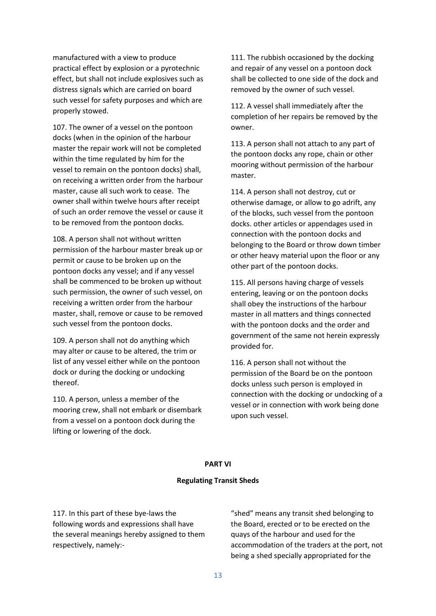manufactured with a view to produce practical effect by explosion or a pyrotechnic effect, but shall not include explosives such as distress signals which are carried on board such vessel for safety purposes and which are properly stowed.

107. The owner of a vessel on the pontoon docks (when in the opinion of the harbour master the repair work will not be completed within the time regulated by him for the vessel to remain on the pontoon docks) shall, on receiving a written order from the harbour master, cause all such work to cease. The owner shall within twelve hours after receipt of such an order remove the vessel or cause it to be removed from the pontoon docks.

108. A person shall not without written permission of the harbour master break up or permit or cause to be broken up on the pontoon docks any vessel; and if any vessel shall be commenced to be broken up without such permission, the owner of such vessel, on receiving a written order from the harbour master, shall, remove or cause to be removed such vessel from the pontoon docks.

109. A person shall not do anything which may alter or cause to be altered, the trim or list of any vessel either while on the pontoon dock or during the docking or undocking thereof.

110. A person, unless a member of the mooring crew, shall not embark or disembark from a vessel on a pontoon dock during the lifting or lowering of the dock.

111. The rubbish occasioned by the docking and repair of any vessel on a pontoon dock shall be collected to one side of the dock and removed by the owner of such vessel.

112. A vessel shall immediately after the completion of her repairs be removed by the owner.

113. A person shall not attach to any part of the pontoon docks any rope, chain or other mooring without permission of the harbour master.

114. A person shall not destroy, cut or otherwise damage, or allow to go adrift, any of the blocks, such vessel from the pontoon docks. other articles or appendages used in connection with the pontoon docks and belonging to the Board or throw down timber or other heavy material upon the floor or any other part of the pontoon docks.

115. All persons having charge of vessels entering, leaving or on the pontoon docks shall obey the instructions of the harbour master in all matters and things connected with the pontoon docks and the order and government of the same not herein expressly provided for.

116. A person shall not without the permission of the Board be on the pontoon docks unless such person is employed in connection with the docking or undocking of a vessel or in connection with work being done upon such vessel.

# **PART VI**

# **Regulating Transit Sheds**

117. In this part of these bye-laws the following words and expressions shall have the several meanings hereby assigned to them respectively, namely:-

"shed" means any transit shed belonging to the Board, erected or to be erected on the quays of the harbour and used for the accommodation of the traders at the port, not being a shed specially appropriated for the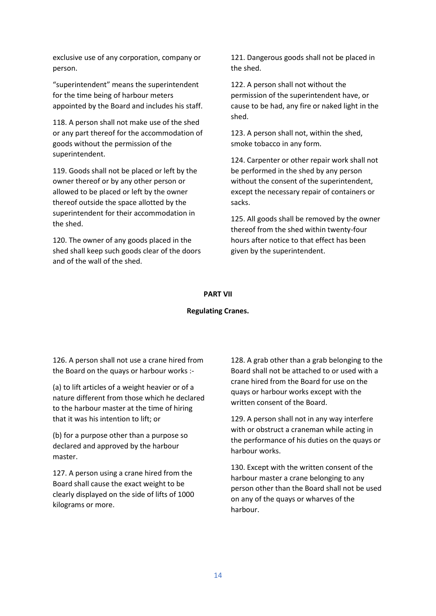exclusive use of any corporation, company or person.

"superintendent" means the superintendent for the time being of harbour meters appointed by the Board and includes his staff.

118. A person shall not make use of the shed or any part thereof for the accommodation of goods without the permission of the superintendent.

119. Goods shall not be placed or left by the owner thereof or by any other person or allowed to be placed or left by the owner thereof outside the space allotted by the superintendent for their accommodation in the shed.

120. The owner of any goods placed in the shed shall keep such goods clear of the doors and of the wall of the shed.

121. Dangerous goods shall not be placed in the shed.

122. A person shall not without the permission of the superintendent have, or cause to be had, any fire or naked light in the shed.

123. A person shall not, within the shed, smoke tobacco in any form.

124. Carpenter or other repair work shall not be performed in the shed by any person without the consent of the superintendent, except the necessary repair of containers or sacks.

125. All goods shall be removed by the owner thereof from the shed within twenty-four hours after notice to that effect has been given by the superintendent.

#### **PART VII**

#### **Regulating Cranes.**

126. A person shall not use a crane hired from the Board on the quays or harbour works :-

(a) to lift articles of a weight heavier or of a nature different from those which he declared to the harbour master at the time of hiring that it was his intention to lift; or

(b) for a purpose other than a purpose so declared and approved by the harbour master.

127. A person using a crane hired from the Board shall cause the exact weight to be clearly displayed on the side of lifts of 1000 kilograms or more.

128. A grab other than a grab belonging to the Board shall not be attached to or used with a crane hired from the Board for use on the quays or harbour works except with the written consent of the Board.

129. A person shall not in any way interfere with or obstruct a craneman while acting in the performance of his duties on the quays or harbour works.

130. Except with the written consent of the harbour master a crane belonging to any person other than the Board shall not be used on any of the quays or wharves of the harbour.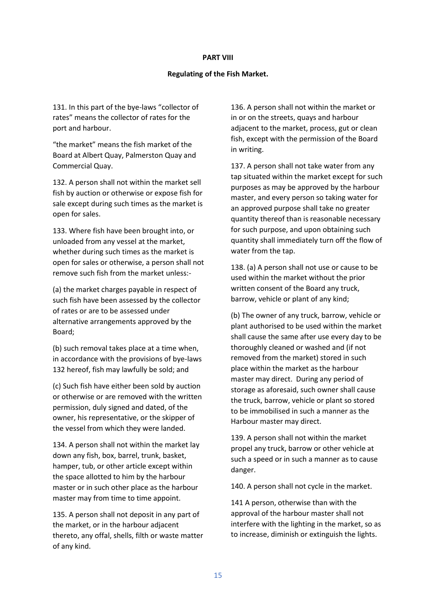#### **PART VIII**

# **Regulating of the Fish Market.**

131. In this part of the bye-laws "collector of rates" means the collector of rates for the port and harbour.

"the market" means the fish market of the Board at Albert Quay, Palmerston Quay and Commercial Quay.

132. A person shall not within the market sell fish by auction or otherwise or expose fish for sale except during such times as the market is open for sales.

133. Where fish have been brought into, or unloaded from any vessel at the market, whether during such times as the market is open for sales or otherwise, a person shall not remove such fish from the market unless:-

(a) the market charges payable in respect of such fish have been assessed by the collector of rates or are to be assessed under alternative arrangements approved by the Board;

(b) such removal takes place at a time when, in accordance with the provisions of bye-laws 132 hereof, fish may lawfully be sold; and

(c) Such fish have either been sold by auction or otherwise or are removed with the written permission, duly signed and dated, of the owner, his representative, or the skipper of the vessel from which they were landed.

134. A person shall not within the market lay down any fish, box, barrel, trunk, basket, hamper, tub, or other article except within the space allotted to him by the harbour master or in such other place as the harbour master may from time to time appoint.

135. A person shall not deposit in any part of the market, or in the harbour adjacent thereto, any offal, shells, filth or waste matter of any kind.

136. A person shall not within the market or in or on the streets, quays and harbour adjacent to the market, process, gut or clean fish, except with the permission of the Board in writing.

137. A person shall not take water from any tap situated within the market except for such purposes as may be approved by the harbour master, and every person so taking water for an approved purpose shall take no greater quantity thereof than is reasonable necessary for such purpose, and upon obtaining such quantity shall immediately turn off the flow of water from the tap.

138. (a) A person shall not use or cause to be used within the market without the prior written consent of the Board any truck, barrow, vehicle or plant of any kind;

(b) The owner of any truck, barrow, vehicle or plant authorised to be used within the market shall cause the same after use every day to be thoroughly cleaned or washed and (if not removed from the market) stored in such place within the market as the harbour master may direct. During any period of storage as aforesaid, such owner shall cause the truck, barrow, vehicle or plant so stored to be immobilised in such a manner as the Harbour master may direct.

139. A person shall not within the market propel any truck, barrow or other vehicle at such a speed or in such a manner as to cause danger.

140. A person shall not cycle in the market.

141 A person, otherwise than with the approval of the harbour master shall not interfere with the lighting in the market, so as to increase, diminish or extinguish the lights.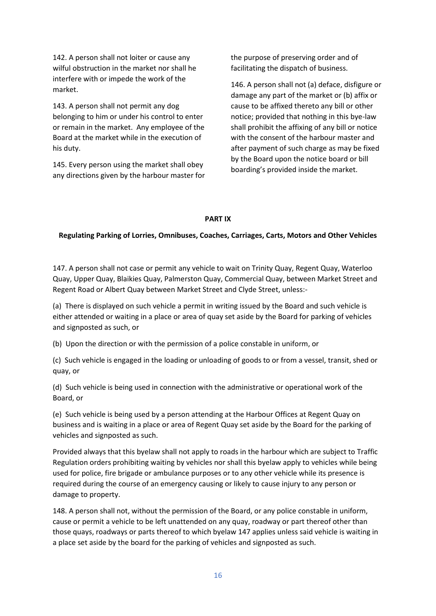142. A person shall not loiter or cause any wilful obstruction in the market nor shall he interfere with or impede the work of the market.

143. A person shall not permit any dog belonging to him or under his control to enter or remain in the market. Any employee of the Board at the market while in the execution of his duty.

145. Every person using the market shall obey any directions given by the harbour master for the purpose of preserving order and of facilitating the dispatch of business.

146. A person shall not (a) deface, disfigure or damage any part of the market or (b) affix or cause to be affixed thereto any bill or other notice; provided that nothing in this bye-law shall prohibit the affixing of any bill or notice with the consent of the harbour master and after payment of such charge as may be fixed by the Board upon the notice board or bill boarding's provided inside the market.

## **PART IX**

# **Regulating Parking of Lorries, Omnibuses, Coaches, Carriages, Carts, Motors and Other Vehicles**

147. A person shall not case or permit any vehicle to wait on Trinity Quay, Regent Quay, Waterloo Quay, Upper Quay, Blaikies Quay, Palmerston Quay, Commercial Quay, between Market Street and Regent Road or Albert Quay between Market Street and Clyde Street, unless:-

(a) There is displayed on such vehicle a permit in writing issued by the Board and such vehicle is either attended or waiting in a place or area of quay set aside by the Board for parking of vehicles and signposted as such, or

(b) Upon the direction or with the permission of a police constable in uniform, or

(c) Such vehicle is engaged in the loading or unloading of goods to or from a vessel, transit, shed or quay, or

(d) Such vehicle is being used in connection with the administrative or operational work of the Board, or

(e) Such vehicle is being used by a person attending at the Harbour Offices at Regent Quay on business and is waiting in a place or area of Regent Quay set aside by the Board for the parking of vehicles and signposted as such.

Provided always that this byelaw shall not apply to roads in the harbour which are subject to Traffic Regulation orders prohibiting waiting by vehicles nor shall this byelaw apply to vehicles while being used for police, fire brigade or ambulance purposes or to any other vehicle while its presence is required during the course of an emergency causing or likely to cause injury to any person or damage to property.

148. A person shall not, without the permission of the Board, or any police constable in uniform, cause or permit a vehicle to be left unattended on any quay, roadway or part thereof other than those quays, roadways or parts thereof to which byelaw 147 applies unless said vehicle is waiting in a place set aside by the board for the parking of vehicles and signposted as such.